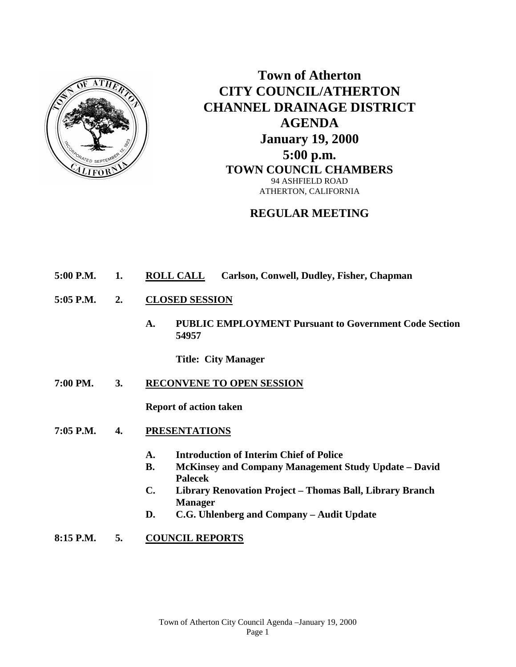

**Town of Atherton CITY COUNCIL/ATHERTON CHANNEL DRAINAGE DISTRICT AGENDA January 19, 2000 5:00 p.m. TOWN COUNCIL CHAMBERS** 94 ASHFIELD ROAD ATHERTON, CALIFORNIA

## **REGULAR MEETING**

- **5:00 P.M. 1. ROLL CALL Carlson, Conwell, Dudley, Fisher, Chapman**
- **5:05 P.M. 2. CLOSED SESSION**
	- **A. PUBLIC EMPLOYMENT Pursuant to Government Code Section 54957**

**Title: City Manager**

**7:00 PM. 3. RECONVENE TO OPEN SESSION**

**Report of action taken**

- **7:05 P.M. 4. PRESENTATIONS**
	- **A. Introduction of Interim Chief of Police**
	- **B. McKinsey and Company Management Study Update – David Palecek**
	- **C. Library Renovation Project – Thomas Ball, Library Branch Manager**
	- **D. C.G. Uhlenberg and Company – Audit Update**

**8:15 P.M. 5. COUNCIL REPORTS**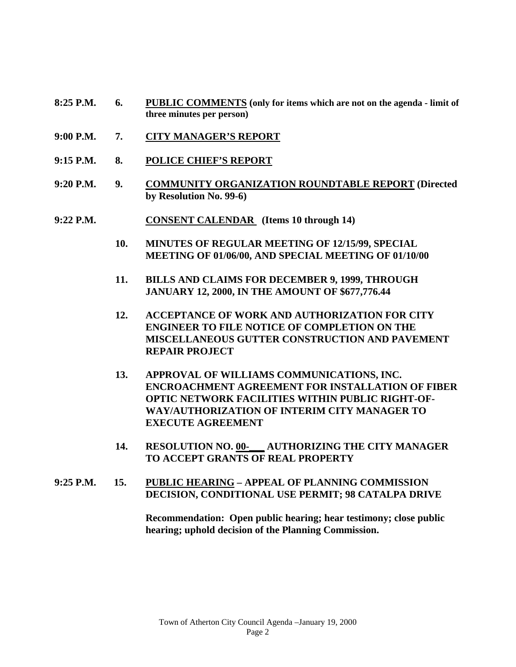- **8:25 P.M. 6. PUBLIC COMMENTS (only for items which are not on the agenda - limit of three minutes per person)**
- **9:00 P.M. 7. CITY MANAGER'S REPORT**
- **9:15 P.M. 8. POLICE CHIEF'S REPORT**
- **9:20 P.M. 9. COMMUNITY ORGANIZATION ROUNDTABLE REPORT (Directed by Resolution No. 99-6)**
- **9:22 P.M. CONSENT CALENDAR (Items 10 through 14)**
	- **10. MINUTES OF REGULAR MEETING OF 12/15/99, SPECIAL MEETING OF 01/06/00, AND SPECIAL MEETING OF 01/10/00**
	- **11. BILLS AND CLAIMS FOR DECEMBER 9, 1999, THROUGH JANUARY 12, 2000, IN THE AMOUNT OF \$677,776.44**
	- **12. ACCEPTANCE OF WORK AND AUTHORIZATION FOR CITY ENGINEER TO FILE NOTICE OF COMPLETION ON THE MISCELLANEOUS GUTTER CONSTRUCTION AND PAVEMENT REPAIR PROJECT**
	- **13. APPROVAL OF WILLIAMS COMMUNICATIONS, INC. ENCROACHMENT AGREEMENT FOR INSTALLATION OF FIBER OPTIC NETWORK FACILITIES WITHIN PUBLIC RIGHT-OF-WAY/AUTHORIZATION OF INTERIM CITY MANAGER TO EXECUTE AGREEMENT**
	- **14. RESOLUTION NO. 00-\_\_\_ AUTHORIZING THE CITY MANAGER TO ACCEPT GRANTS OF REAL PROPERTY**
- **9:25 P.M. 15. PUBLIC HEARING – APPEAL OF PLANNING COMMISSION DECISION, CONDITIONAL USE PERMIT; 98 CATALPA DRIVE**

**Recommendation: Open public hearing; hear testimony; close public hearing; uphold decision of the Planning Commission.**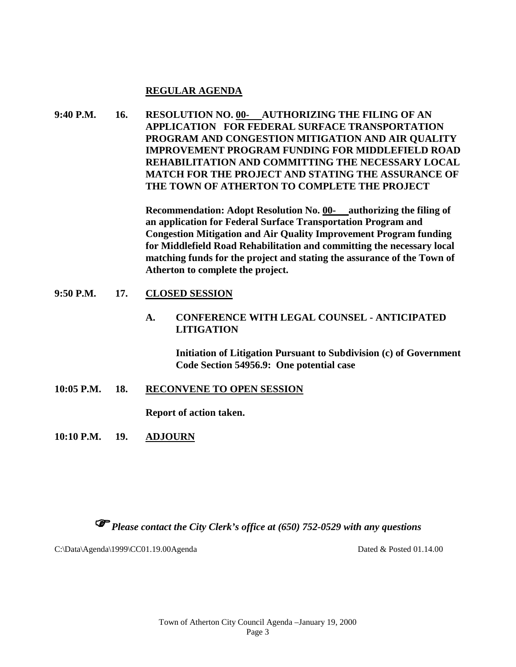## **REGULAR AGENDA**

**9:40 P.M. 16. RESOLUTION NO. 00- AUTHORIZING THE FILING OF AN APPLICATION FOR FEDERAL SURFACE TRANSPORTATION PROGRAM AND CONGESTION MITIGATION AND AIR QUALITY IMPROVEMENT PROGRAM FUNDING FOR MIDDLEFIELD ROAD REHABILITATION AND COMMITTING THE NECESSARY LOCAL MATCH FOR THE PROJECT AND STATING THE ASSURANCE OF THE TOWN OF ATHERTON TO COMPLETE THE PROJECT**

> **Recommendation: Adopt Resolution No. 00- authorizing the filing of an application for Federal Surface Transportation Program and Congestion Mitigation and Air Quality Improvement Program funding for Middlefield Road Rehabilitation and committing the necessary local matching funds for the project and stating the assurance of the Town of Atherton to complete the project.**

## **9:50 P.M. 17. CLOSED SESSION**

**A. CONFERENCE WITH LEGAL COUNSEL - ANTICIPATED LITIGATION** 

> **Initiation of Litigation Pursuant to Subdivision (c) of Government Code Section 54956.9: One potential case**

**10:05 P.M. 18. RECONVENE TO OPEN SESSION**

**Report of action taken.**

**10:10 P.M. 19. ADJOURN**

*Please contact the City Clerk's office at (650) 752-0529 with any questions*

C:\Data\Agenda\1999\CC01.19.00Agenda Dated & Posted 01.14.00